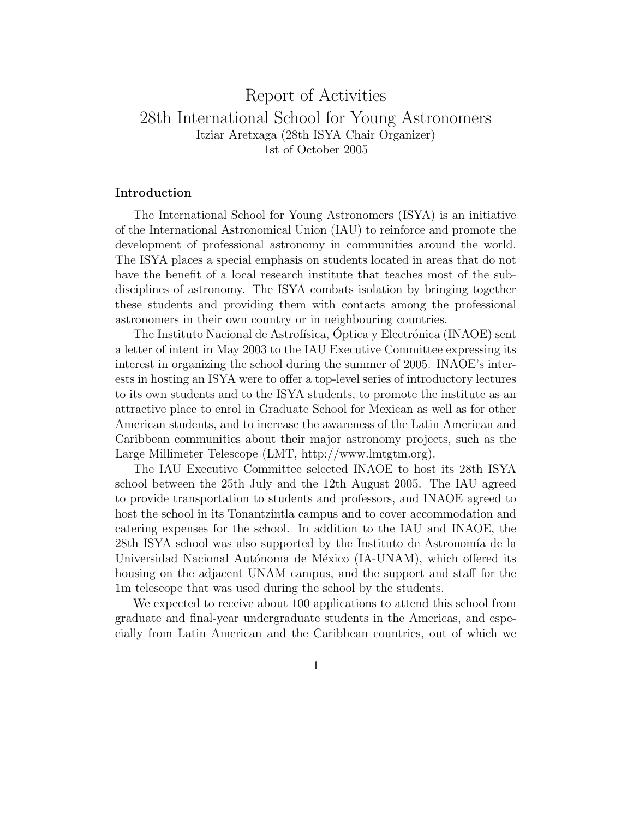# Report of Activities 28th International School for Young Astronomers Itziar Aretxaga (28th ISYA Chair Organizer) 1st of October 2005

## Introduction

The International School for Young Astronomers (ISYA) is an initiative of the International Astronomical Union (IAU) to reinforce and promote the development of professional astronomy in communities around the world. The ISYA places a special emphasis on students located in areas that do not have the benefit of a local research institute that teaches most of the subdisciplines of astronomy. The ISYA combats isolation by bringing together these students and providing them with contacts among the professional astronomers in their own country or in neighbouring countries.

The Instituto Nacional de Astrofísica, Óptica y Electrónica (INAOE) sent a letter of intent in May 2003 to the IAU Executive Committee expressing its interest in organizing the school during the summer of 2005. INAOE's interests in hosting an ISYA were to offer a top-level series of introductory lectures to its own students and to the ISYA students, to promote the institute as an attractive place to enrol in Graduate School for Mexican as well as for other American students, and to increase the awareness of the Latin American and Caribbean communities about their major astronomy projects, such as the Large Millimeter Telescope (LMT, http://www.lmtgtm.org).

The IAU Executive Committee selected INAOE to host its 28th ISYA school between the 25th July and the 12th August 2005. The IAU agreed to provide transportation to students and professors, and INAOE agreed to host the school in its Tonantzintla campus and to cover accommodation and catering expenses for the school. In addition to the IAU and INAOE, the 28th ISYA school was also supported by the Instituto de Astronomía de la Universidad Nacional Autónoma de México (IA-UNAM), which offered its housing on the adjacent UNAM campus, and the support and staff for the 1m telescope that was used during the school by the students.

We expected to receive about 100 applications to attend this school from graduate and final-year undergraduate students in the Americas, and especially from Latin American and the Caribbean countries, out of which we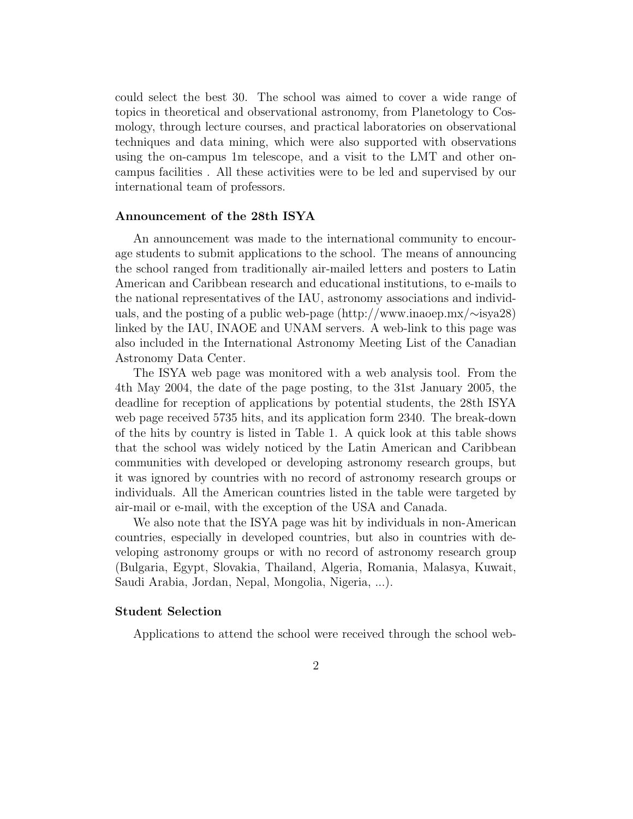could select the best 30. The school was aimed to cover a wide range of topics in theoretical and observational astronomy, from Planetology to Cosmology, through lecture courses, and practical laboratories on observational techniques and data mining, which were also supported with observations using the on-campus 1m telescope, and a visit to the LMT and other oncampus facilities . All these activities were to be led and supervised by our international team of professors.

#### Announcement of the 28th ISYA

An announcement was made to the international community to encourage students to submit applications to the school. The means of announcing the school ranged from traditionally air-mailed letters and posters to Latin American and Caribbean research and educational institutions, to e-mails to the national representatives of the IAU, astronomy associations and individuals, and the posting of a public web-page (http://www.inaoep.mx/∼isya28) linked by the IAU, INAOE and UNAM servers. A web-link to this page was also included in the International Astronomy Meeting List of the Canadian Astronomy Data Center.

The ISYA web page was monitored with a web analysis tool. From the 4th May 2004, the date of the page posting, to the 31st January 2005, the deadline for reception of applications by potential students, the 28th ISYA web page received 5735 hits, and its application form 2340. The break-down of the hits by country is listed in Table 1. A quick look at this table shows that the school was widely noticed by the Latin American and Caribbean communities with developed or developing astronomy research groups, but it was ignored by countries with no record of astronomy research groups or individuals. All the American countries listed in the table were targeted by air-mail or e-mail, with the exception of the USA and Canada.

We also note that the ISYA page was hit by individuals in non-American countries, especially in developed countries, but also in countries with developing astronomy groups or with no record of astronomy research group (Bulgaria, Egypt, Slovakia, Thailand, Algeria, Romania, Malasya, Kuwait, Saudi Arabia, Jordan, Nepal, Mongolia, Nigeria, ...).

### Student Selection

Applications to attend the school were received through the school web-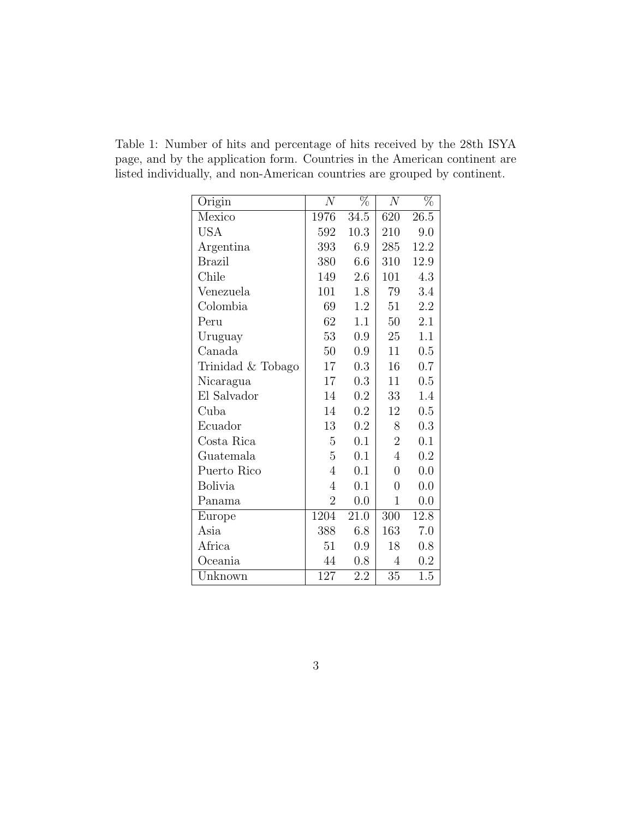Table 1: Number of hits and percentage of hits received by the 28th ISYA page, and by the application form. Countries in the American continent are listed individually, and non-American countries are grouped by continent.

| Origin                       | $\,N$          | $\%$             | $\overline{N}$ | $\%$    |
|------------------------------|----------------|------------------|----------------|---------|
| Mexico                       | 1976           | 34.5             | 620            | 26.5    |
| <b>USA</b>                   | 592            | 10.3             | 210            | 9.0     |
| Argentina                    | 393            | 6.9              | 285            | 12.2    |
| <b>Brazil</b>                | 380            | 6.6              | 310            | 12.9    |
| Chile                        | 149            | 2.6              | 101            | 4.3     |
| Venezuela                    | 101            | 1.8              | 79             | 3.4     |
| Colombia                     | 69             | 1.2              | 51             | 2.2     |
| Peru                         | 62             | 1.1              | 50             | 2.1     |
| Uruguay                      | 53             | 0.9              | 25             | 1.1     |
| Canada                       | 50             | 0.9              | 11             | 0.5     |
| Trinidad & Tobago            | 17             | 0.3              | 16             | 0.7     |
| Nicaragua                    | 17             | 0.3              | 11             | 0.5     |
| El Salvador                  | 14             | 0.2              | 33             | 1.4     |
| Cuba                         | 14             | $0.2\,$          | 12             | 0.5     |
| Ecuador                      | 13             | 0.2              | 8              | 0.3     |
| Costa Rica                   | 5              | 0.1              | $\overline{2}$ | 0.1     |
| Guatemala                    | 5              | 0.1              | $\overline{4}$ | 0.2     |
| Puerto Rico                  | $\overline{4}$ | 0.1              | $\overline{0}$ | 0.0     |
| <b>Bolivia</b>               | $\overline{4}$ | 0.1              | $\overline{0}$ | 0.0     |
| Panama                       | $\overline{2}$ | 0.0              | $\mathbf{1}$   | 0.0     |
| Europe                       | 1204           | 21.0             | 300            | 12.8    |
| Asia                         | 388            | 6.8              | 163            | 7.0     |
| Africa                       | 51             | 0.9              | 18             | 0.8     |
| Oceania                      | 44             | 0.8              | 4              | 0.2     |
| $\overline{\text{U}}$ nknown | 127            | $2.\overline{2}$ | 35             | $1.5\,$ |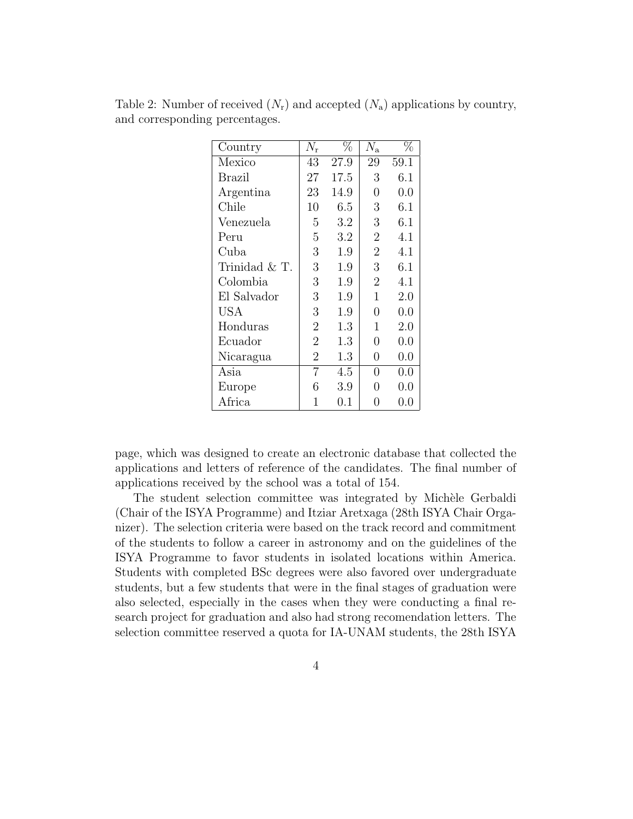| Country       | $N_{\rm r}$    | $\%$ | $\bar{N}_\mathrm{a}$ | $\overline{\%}$ |
|---------------|----------------|------|----------------------|-----------------|
| Mexico        | 43             | 27.9 | 29                   | 59.1            |
| Brazil        | 27             | 17.5 | 3                    | 6.1             |
| Argentina     | 23             | 14.9 | 0                    | 0.0             |
| Chile         | 10             | 6.5  | 3                    | 6.1             |
| Venezuela     | 5              | 3.2  | 3                    | 6.1             |
| Peru          | $\overline{5}$ | 3.2  | $\overline{2}$       | 4.1             |
| Cuba          | 3              | 1.9  | $\overline{2}$       | 4.1             |
| Trinidad & T. | 3              | 1.9  | 3                    | 6.1             |
| Colombia      | 3              | 1.9  | $\overline{2}$       | 4.1             |
| El Salvador   | 3              | 1.9  | 1                    | 2.0             |
| USA           | 3              | 1.9  | 0                    | 0.0             |
| Honduras      | $\overline{2}$ | 1.3  | 1                    | 2.0             |
| Ecuador       | $\overline{2}$ | 1.3  | 0                    | 0.0             |
| Nicaragua     | $\overline{2}$ | 1.3  | 0                    | 0.0             |
| Asia          | $\overline{7}$ | 4.5  | 0                    | 0.0             |
| Europe        | 6              | 3.9  | 0                    | 0.0             |
| Africa        | 1              | 0.1  | 0                    | $0.0\,$         |

Table 2: Number of received  $(N_r)$  and accepted  $(N_a)$  applications by country, and corresponding percentages.

page, which was designed to create an electronic database that collected the applications and letters of reference of the candidates. The final number of applications received by the school was a total of 154.

The student selection committee was integrated by Michèle Gerbaldi (Chair of the ISYA Programme) and Itziar Aretxaga (28th ISYA Chair Organizer). The selection criteria were based on the track record and commitment of the students to follow a career in astronomy and on the guidelines of the ISYA Programme to favor students in isolated locations within America. Students with completed BSc degrees were also favored over undergraduate students, but a few students that were in the final stages of graduation were also selected, especially in the cases when they were conducting a final research project for graduation and also had strong recomendation letters. The selection committee reserved a quota for IA-UNAM students, the 28th ISYA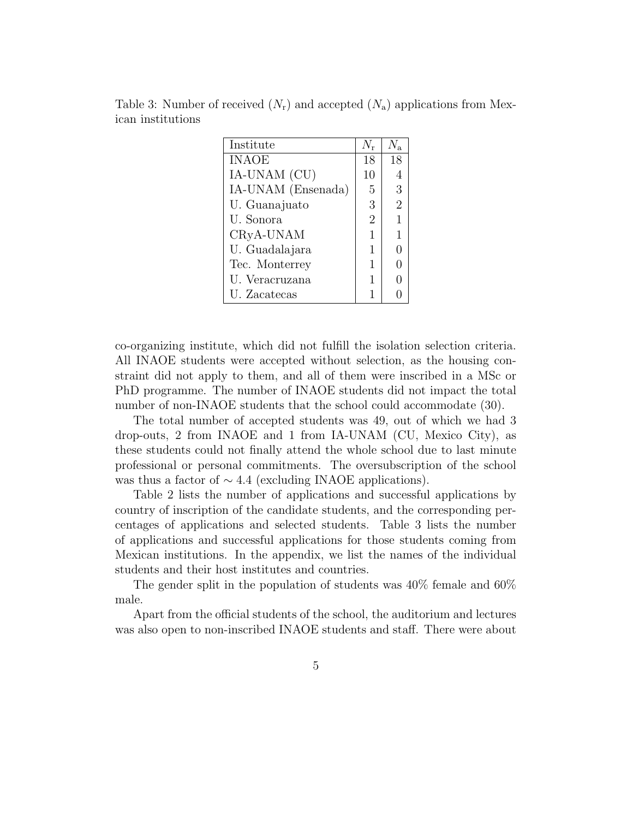| Institute          |                |                |
|--------------------|----------------|----------------|
| <b>INAOE</b>       | 18             | 18             |
| IA-UNAM (CU)       | 10             |                |
| IA-UNAM (Ensenada) | 5              | 3              |
| U. Guanajuato      | 3              | $\overline{2}$ |
| U. Sonora          | $\overline{2}$ | 1              |
| CRyA-UNAM          | 1              |                |
| U. Guadalajara     | 1              |                |
| Tec. Monterrey     | 1              |                |
| U. Veracruzana     | 1              |                |
| U. Zacatecas       | 1              |                |

Table 3: Number of received  $(N_r)$  and accepted  $(N_a)$  applications from Mexican institutions

co-organizing institute, which did not fulfill the isolation selection criteria. All INAOE students were accepted without selection, as the housing constraint did not apply to them, and all of them were inscribed in a MSc or PhD programme. The number of INAOE students did not impact the total number of non-INAOE students that the school could accommodate (30).

The total number of accepted students was 49, out of which we had 3 drop-outs, 2 from INAOE and 1 from IA-UNAM (CU, Mexico City), as these students could not finally attend the whole school due to last minute professional or personal commitments. The oversubscription of the school was thus a factor of  $\sim 4.4$  (excluding INAOE applications).

Table 2 lists the number of applications and successful applications by country of inscription of the candidate students, and the corresponding percentages of applications and selected students. Table 3 lists the number of applications and successful applications for those students coming from Mexican institutions. In the appendix, we list the names of the individual students and their host institutes and countries.

The gender split in the population of students was 40% female and 60% male.

Apart from the official students of the school, the auditorium and lectures was also open to non-inscribed INAOE students and staff. There were about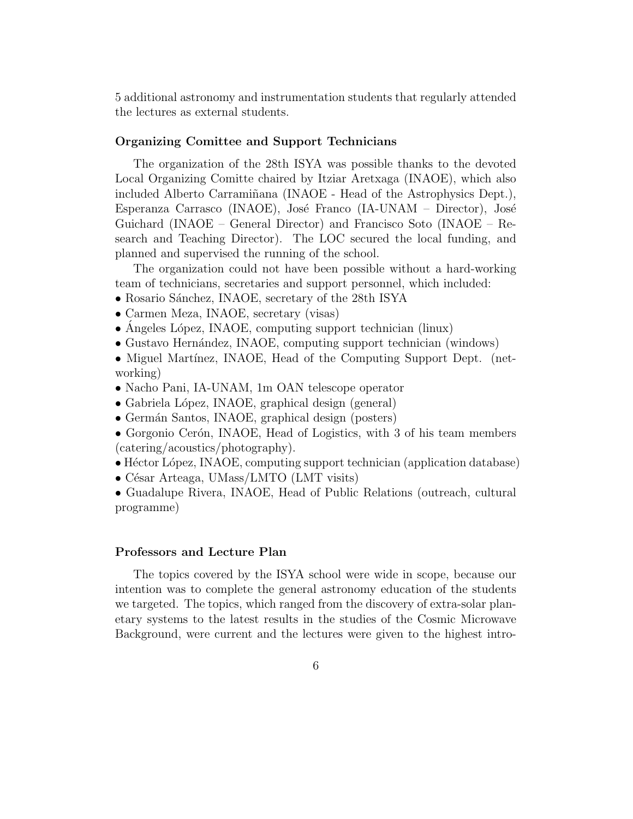5 additional astronomy and instrumentation students that regularly attended the lectures as external students.

# Organizing Comittee and Support Technicians

The organization of the 28th ISYA was possible thanks to the devoted Local Organizing Comitte chaired by Itziar Aretxaga (INAOE), which also included Alberto Carraminana (INAOE - Head of the Astrophysics Dept.), Esperanza Carrasco (INAOE), José Franco (IA-UNAM – Director), José Guichard (INAOE – General Director) and Francisco Soto (INAOE – Research and Teaching Director). The LOC secured the local funding, and planned and supervised the running of the school.

The organization could not have been possible without a hard-working team of technicians, secretaries and support personnel, which included:

- Rosario Sánchez, INAOE, secretary of the 28th ISYA
- Carmen Meza, INAOE, secretary (visas)
- Angeles López, INAOE, computing support technician (linux)
- Gustavo Hernández, INAOE, computing support technician (windows)
- Miguel Martínez, INAOE, Head of the Computing Support Dept. (networking)
- Nacho Pani, IA-UNAM, 1m OAN telescope operator
- Gabriela López, INAOE, graphical design (general)
- Germán Santos, INAOE, graphical design (posters)

• Gorgonio Cerón, INAOE, Head of Logistics, with 3 of his team members (catering/acoustics/photography).

- Héctor López, INAOE, computing support technician (application database)
- César Arteaga, UMass/LMTO (LMT visits)

• Guadalupe Rivera, INAOE, Head of Public Relations (outreach, cultural programme)

# Professors and Lecture Plan

The topics covered by the ISYA school were wide in scope, because our intention was to complete the general astronomy education of the students we targeted. The topics, which ranged from the discovery of extra-solar planetary systems to the latest results in the studies of the Cosmic Microwave Background, were current and the lectures were given to the highest intro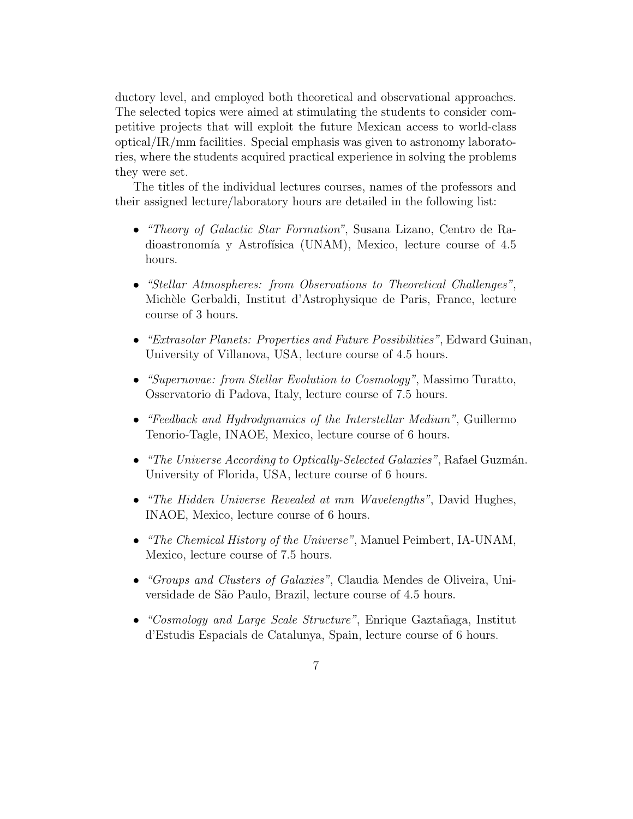ductory level, and employed both theoretical and observational approaches. The selected topics were aimed at stimulating the students to consider competitive projects that will exploit the future Mexican access to world-class optical/IR/mm facilities. Special emphasis was given to astronomy laboratories, where the students acquired practical experience in solving the problems they were set.

The titles of the individual lectures courses, names of the professors and their assigned lecture/laboratory hours are detailed in the following list:

- "Theory of Galactic Star Formation", Susana Lizano, Centro de Radioastronomía y Astrofísica (UNAM), Mexico, lecture course of 4.5 hours.
- "Stellar Atmospheres: from Observations to Theoretical Challenges", Michèle Gerbaldi, Institut d'Astrophysique de Paris, France, lecture course of 3 hours.
- "Extrasolar Planets: Properties and Future Possibilities", Edward Guinan, University of Villanova, USA, lecture course of 4.5 hours.
- "Supernovae: from Stellar Evolution to Cosmology", Massimo Turatto, Osservatorio di Padova, Italy, lecture course of 7.5 hours.
- "Feedback and Hydrodynamics of the Interstellar Medium", Guillermo Tenorio-Tagle, INAOE, Mexico, lecture course of 6 hours.
- "The Universe According to Optically-Selected Galaxies", Rafael Guzmán. University of Florida, USA, lecture course of 6 hours.
- "The Hidden Universe Revealed at mm Wavelengths", David Hughes, INAOE, Mexico, lecture course of 6 hours.
- "The Chemical History of the Universe", Manuel Peimbert, IA-UNAM, Mexico, lecture course of 7.5 hours.
- "Groups and Clusters of Galaxies", Claudia Mendes de Oliveira, Universidade de São Paulo, Brazil, lecture course of 4.5 hours.
- "Cosmology and Large Scale Structure", Enrique Gaztañaga, Institut d'Estudis Espacials de Catalunya, Spain, lecture course of 6 hours.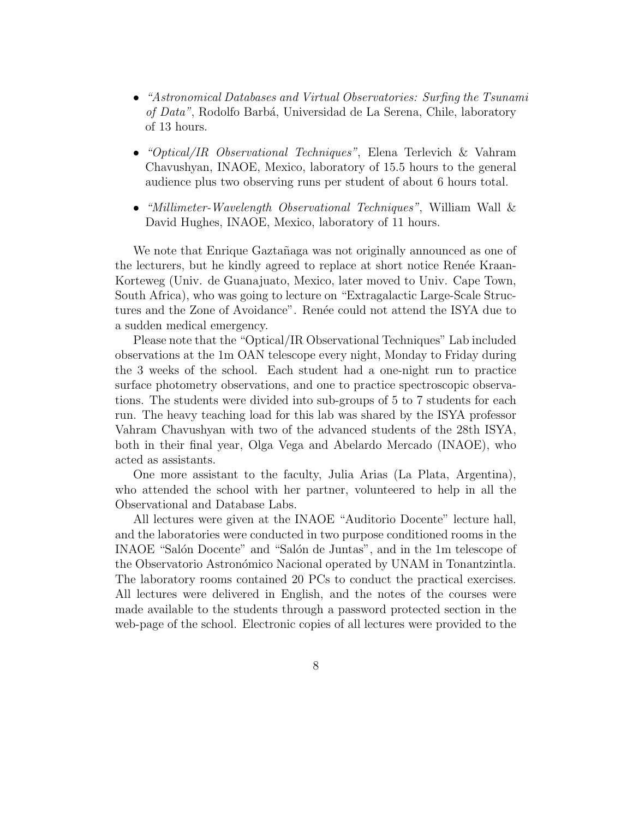- "Astronomical Databases and Virtual Observatories: Surfing the Tsunami of Data", Rodolfo Barbá, Universidad de La Serena, Chile, laboratory of 13 hours.
- "Optical/IR Observational Techniques", Elena Terlevich & Vahram Chavushyan, INAOE, Mexico, laboratory of 15.5 hours to the general audience plus two observing runs per student of about 6 hours total.
- "Millimeter-Wavelength Observational Techniques", William Wall & David Hughes, INAOE, Mexico, laboratory of 11 hours.

We note that Enrique Gaztañaga was not originally announced as one of the lecturers, but he kindly agreed to replace at short notice Renée Kraan-Korteweg (Univ. de Guanajuato, Mexico, later moved to Univ. Cape Town, South Africa), who was going to lecture on "Extragalactic Large-Scale Structures and the Zone of Avoidance". Renée could not attend the ISYA due to a sudden medical emergency.

Please note that the "Optical/IR Observational Techniques" Lab included observations at the 1m OAN telescope every night, Monday to Friday during the 3 weeks of the school. Each student had a one-night run to practice surface photometry observations, and one to practice spectroscopic observations. The students were divided into sub-groups of 5 to 7 students for each run. The heavy teaching load for this lab was shared by the ISYA professor Vahram Chavushyan with two of the advanced students of the 28th ISYA, both in their final year, Olga Vega and Abelardo Mercado (INAOE), who acted as assistants.

One more assistant to the faculty, Julia Arias (La Plata, Argentina), who attended the school with her partner, volunteered to help in all the Observational and Database Labs.

All lectures were given at the INAOE "Auditorio Docente" lecture hall, and the laboratories were conducted in two purpose conditioned rooms in the INAOE "Salón Docente" and "Salón de Juntas", and in the 1m telescope of the Observatorio Astron´omico Nacional operated by UNAM in Tonantzintla. The laboratory rooms contained 20 PCs to conduct the practical exercises. All lectures were delivered in English, and the notes of the courses were made available to the students through a password protected section in the web-page of the school. Electronic copies of all lectures were provided to the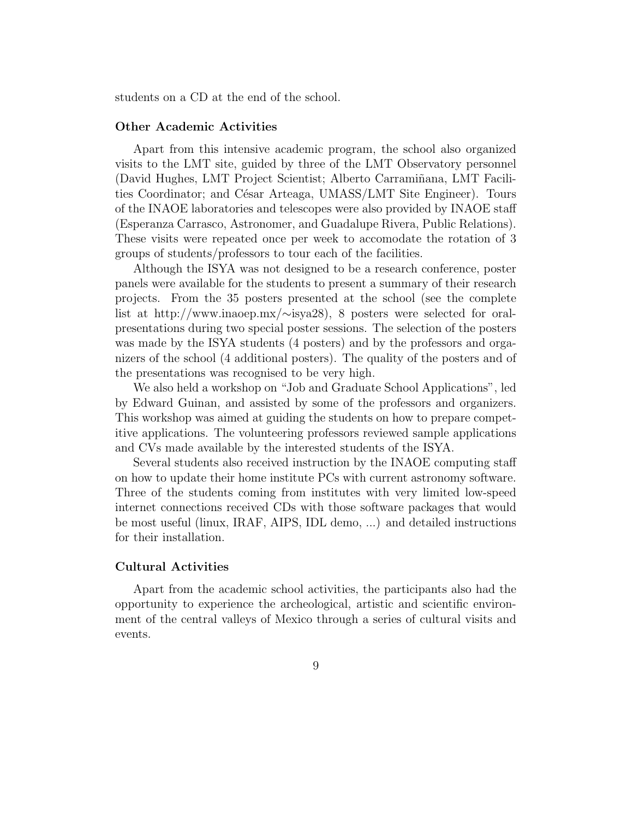students on a CD at the end of the school.

#### Other Academic Activities

Apart from this intensive academic program, the school also organized visits to the LMT site, guided by three of the LMT Observatory personnel (David Hughes, LMT Project Scientist; Alberto Carramiñana, LMT Facilities Coordinator; and César Arteaga, UMASS/LMT Site Engineer). Tours of the INAOE laboratories and telescopes were also provided by INAOE staff (Esperanza Carrasco, Astronomer, and Guadalupe Rivera, Public Relations). These visits were repeated once per week to accomodate the rotation of 3 groups of students/professors to tour each of the facilities.

Although the ISYA was not designed to be a research conference, poster panels were available for the students to present a summary of their research projects. From the 35 posters presented at the school (see the complete list at http://www.inaoep.mx/∼isya28), 8 posters were selected for oralpresentations during two special poster sessions. The selection of the posters was made by the ISYA students (4 posters) and by the professors and organizers of the school (4 additional posters). The quality of the posters and of the presentations was recognised to be very high.

We also held a workshop on "Job and Graduate School Applications", led by Edward Guinan, and assisted by some of the professors and organizers. This workshop was aimed at guiding the students on how to prepare competitive applications. The volunteering professors reviewed sample applications and CVs made available by the interested students of the ISYA.

Several students also received instruction by the INAOE computing staff on how to update their home institute PCs with current astronomy software. Three of the students coming from institutes with very limited low-speed internet connections received CDs with those software packages that would be most useful (linux, IRAF, AIPS, IDL demo, ...) and detailed instructions for their installation.

#### Cultural Activities

Apart from the academic school activities, the participants also had the opportunity to experience the archeological, artistic and scientific environment of the central valleys of Mexico through a series of cultural visits and events.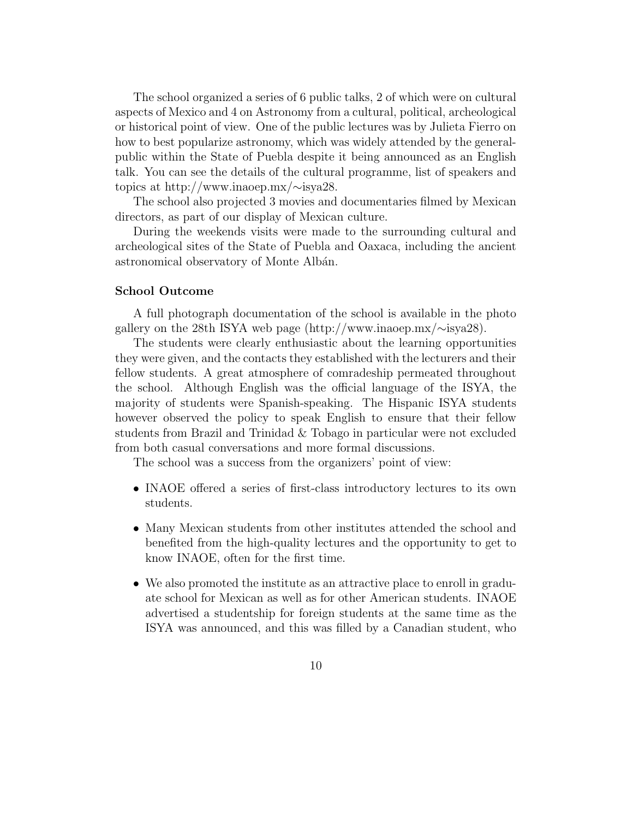The school organized a series of 6 public talks, 2 of which were on cultural aspects of Mexico and 4 on Astronomy from a cultural, political, archeological or historical point of view. One of the public lectures was by Julieta Fierro on how to best popularize astronomy, which was widely attended by the generalpublic within the State of Puebla despite it being announced as an English talk. You can see the details of the cultural programme, list of speakers and topics at http://www.inaoep.mx/∼isya28.

The school also projected 3 movies and documentaries filmed by Mexican directors, as part of our display of Mexican culture.

During the weekends visits were made to the surrounding cultural and archeological sites of the State of Puebla and Oaxaca, including the ancient astronomical observatory of Monte Albán.

## School Outcome

A full photograph documentation of the school is available in the photo gallery on the 28th ISYA web page (http://www.inaoep.mx/∼isya28).

The students were clearly enthusiastic about the learning opportunities they were given, and the contacts they established with the lecturers and their fellow students. A great atmosphere of comradeship permeated throughout the school. Although English was the official language of the ISYA, the majority of students were Spanish-speaking. The Hispanic ISYA students however observed the policy to speak English to ensure that their fellow students from Brazil and Trinidad & Tobago in particular were not excluded from both casual conversations and more formal discussions.

The school was a success from the organizers' point of view:

- INAOE offered a series of first-class introductory lectures to its own students.
- Many Mexican students from other institutes attended the school and benefited from the high-quality lectures and the opportunity to get to know INAOE, often for the first time.
- We also promoted the institute as an attractive place to enroll in graduate school for Mexican as well as for other American students. INAOE advertised a studentship for foreign students at the same time as the ISYA was announced, and this was filled by a Canadian student, who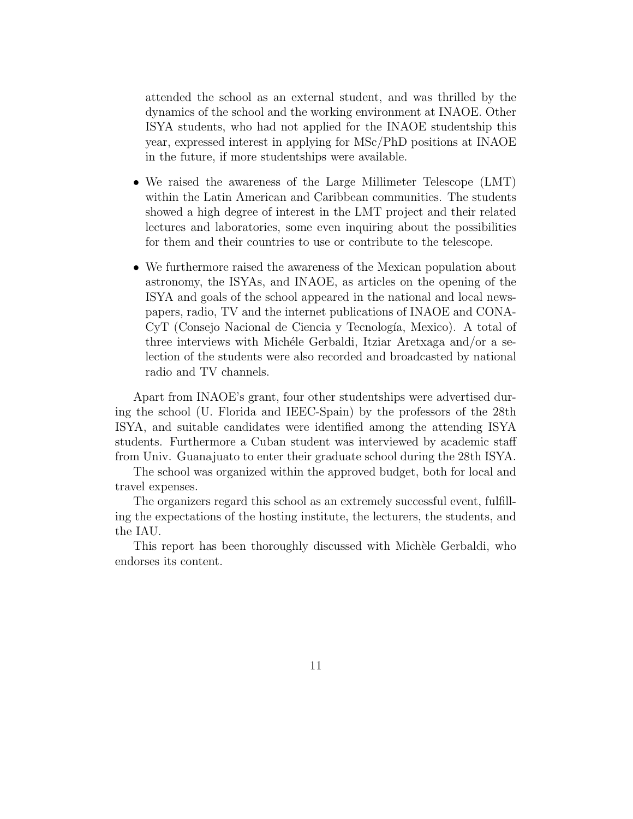attended the school as an external student, and was thrilled by the dynamics of the school and the working environment at INAOE. Other ISYA students, who had not applied for the INAOE studentship this year, expressed interest in applying for MSc/PhD positions at INAOE in the future, if more studentships were available.

- We raised the awareness of the Large Millimeter Telescope (LMT) within the Latin American and Caribbean communities. The students showed a high degree of interest in the LMT project and their related lectures and laboratories, some even inquiring about the possibilities for them and their countries to use or contribute to the telescope.
- We furthermore raised the awareness of the Mexican population about astronomy, the ISYAs, and INAOE, as articles on the opening of the ISYA and goals of the school appeared in the national and local newspapers, radio, TV and the internet publications of INAOE and CONA-CyT (Consejo Nacional de Ciencia y Tecnología, Mexico). A total of three interviews with Michéle Gerbaldi, Itziar Aretxaga and/or a selection of the students were also recorded and broadcasted by national radio and TV channels.

Apart from INAOE's grant, four other studentships were advertised during the school (U. Florida and IEEC-Spain) by the professors of the 28th ISYA, and suitable candidates were identified among the attending ISYA students. Furthermore a Cuban student was interviewed by academic staff from Univ. Guanajuato to enter their graduate school during the 28th ISYA.

The school was organized within the approved budget, both for local and travel expenses.

The organizers regard this school as an extremely successful event, fulfilling the expectations of the hosting institute, the lecturers, the students, and the IAU.

This report has been thoroughly discussed with Michèle Gerbaldi, who endorses its content.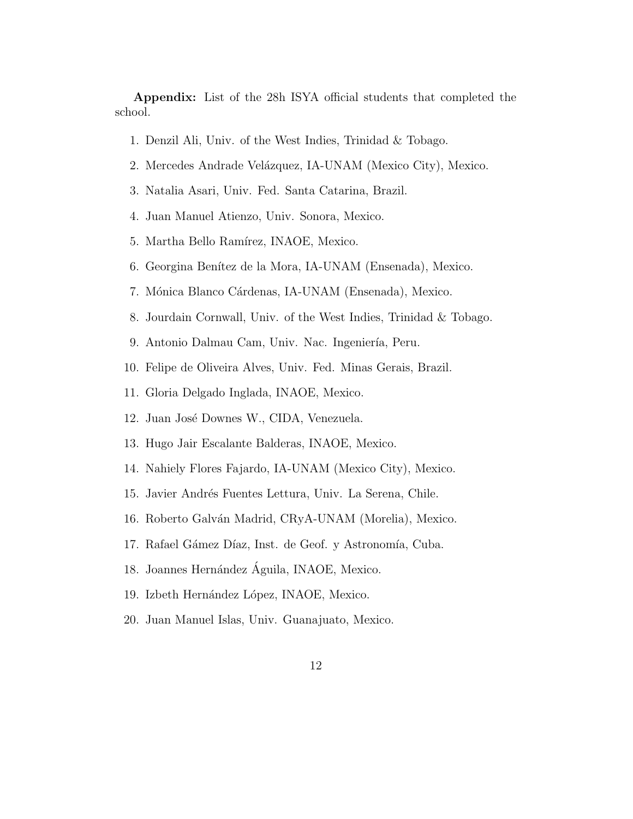Appendix: List of the 28h ISYA official students that completed the school.

- 1. Denzil Ali, Univ. of the West Indies, Trinidad & Tobago.
- 2. Mercedes Andrade Velázquez, IA-UNAM (Mexico City), Mexico.
- 3. Natalia Asari, Univ. Fed. Santa Catarina, Brazil.
- 4. Juan Manuel Atienzo, Univ. Sonora, Mexico.
- 5. Martha Bello Ramírez, INAOE, Mexico.
- 6. Georgina Benítez de la Mora, IA-UNAM (Ensenada), Mexico.
- 7. Mónica Blanco Cárdenas, IA-UNAM (Ensenada), Mexico.
- 8. Jourdain Cornwall, Univ. of the West Indies, Trinidad & Tobago.
- 9. Antonio Dalmau Cam, Univ. Nac. Ingeniería, Peru.
- 10. Felipe de Oliveira Alves, Univ. Fed. Minas Gerais, Brazil.
- 11. Gloria Delgado Inglada, INAOE, Mexico.
- 12. Juan José Downes W., CIDA, Venezuela.
- 13. Hugo Jair Escalante Balderas, INAOE, Mexico.
- 14. Nahiely Flores Fajardo, IA-UNAM (Mexico City), Mexico.
- 15. Javier Andrés Fuentes Lettura, Univ. La Serena, Chile.
- 16. Roberto Galván Madrid, CRyA-UNAM (Morelia), Mexico.
- 17. Rafael Gámez Díaz, Inst. de Geof. y Astronomía, Cuba.
- 18. Joannes Hernández Águila, INAOE, Mexico.
- 19. Izbeth Hernández López, INAOE, Mexico.
- 20. Juan Manuel Islas, Univ. Guanajuato, Mexico.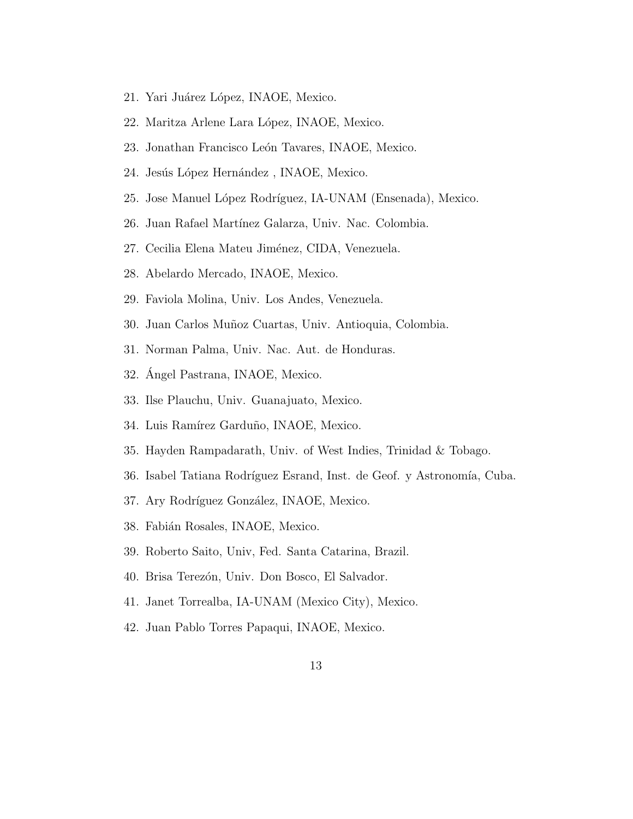- 21. Yari Juárez López, INAOE, Mexico.
- 22. Maritza Arlene Lara López, INAOE, Mexico.
- 23. Jonathan Francisco León Tavares, INAOE, Mexico.
- 24. Jesús López Hernández, INAOE, Mexico.
- 25. Jose Manuel López Rodríguez, IA-UNAM (Ensenada), Mexico.
- 26. Juan Rafael Mart´ınez Galarza, Univ. Nac. Colombia.
- 27. Cecilia Elena Mateu Jiménez, CIDA, Venezuela.
- 28. Abelardo Mercado, INAOE, Mexico.
- 29. Faviola Molina, Univ. Los Andes, Venezuela.
- 30. Juan Carlos Muñoz Cuartas, Univ. Antioquia, Colombia.
- 31. Norman Palma, Univ. Nac. Aut. de Honduras.
- 32. Ángel Pastrana, INAOE, Mexico.
- 33. Ilse Plauchu, Univ. Guanajuato, Mexico.
- 34. Luis Ramírez Garduño, INAOE, Mexico.
- 35. Hayden Rampadarath, Univ. of West Indies, Trinidad & Tobago.
- 36. Isabel Tatiana Rodríguez Esrand, Inst. de Geof. y Astronomía, Cuba.
- 37. Ary Rodríguez González, INAOE, Mexico.
- 38. Fabián Rosales, INAOE, Mexico.
- 39. Roberto Saito, Univ, Fed. Santa Catarina, Brazil.
- 40. Brisa Terezón, Univ. Don Bosco, El Salvador.
- 41. Janet Torrealba, IA-UNAM (Mexico City), Mexico.
- 42. Juan Pablo Torres Papaqui, INAOE, Mexico.